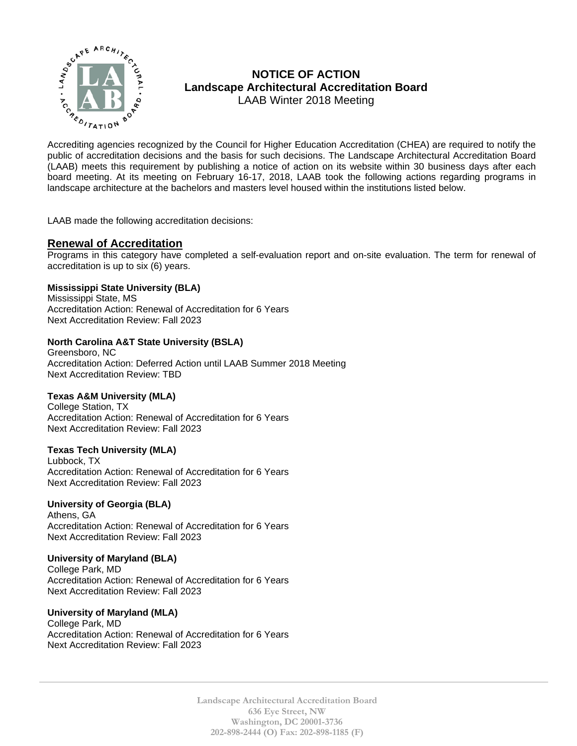

# **NOTICE OF ACTION Landscape Architectural Accreditation Board**  LAAB Winter 2018 Meeting

MOTICE OF ACTION<br>  $\sum_{k}^{n}$  MOTICE OF ACTION<br>
Landscape Architectural Accreditation Board<br>
LAAB Winter 2018 Meeting<br>
Accrediting agencies recognized by the Council for Higher Education Accreditation (CHEA) are required t public of accreditation decisions and the basis for such decisions. The Landscape Architectural Accreditation Board (LAAB) meets this requirement by publishing a notice of action on its website within 30 business days after each board meeting. At its meeting on February 16-17, 2018, LAAB took the following actions regarding programs in landscape architecture at the bachelors and masters level housed within the institutions listed below.

LAAB made the following accreditation decisions:

# **Renewal of Accreditation**

Programs in this category have completed a self-evaluation report and on-site evaluation. The term for renewal of accreditation is up to six (6) years.

# **Mississippi State University (BLA)**

Mississippi State, MS Accreditation Action: Renewal of Accreditation for 6 Years Next Accreditation Review: Fall 2023

# **North Carolina A&T State University (BSLA)**

Greensboro, NC Accreditation Action: Deferred Action until LAAB Summer 2018 Meeting Next Accreditation Review: TBD

# **Texas A&M University (MLA)**

College Station, TX Accreditation Action: Renewal of Accreditation for 6 Years Next Accreditation Review: Fall 2023

# **Texas Tech University (MLA)**

Lubbock, TX Accreditation Action: Renewal of Accreditation for 6 Years Next Accreditation Review: Fall 2023

# **University of Georgia (BLA)**

Athens, GA Accreditation Action: Renewal of Accreditation for 6 Years Next Accreditation Review: Fall 2023

#### **University of Maryland (BLA)**

College Park, MD Accreditation Action: Renewal of Accreditation for 6 Years Next Accreditation Review: Fall 2023

# **University of Maryland (MLA)**

College Park, MD Accreditation Action: Renewal of Accreditation for 6 Years Next Accreditation Review: Fall 2023

> **Landscape Architectural Accreditation Board 636 Eye Street, NW Washington, DC 20001-3736 202-898-2444 (O) Fax: 202-898-1185 (F)**